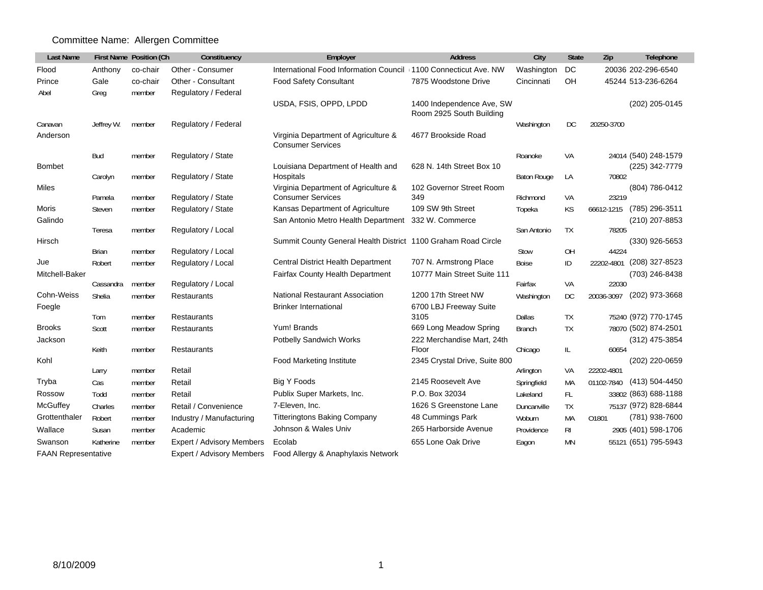## Committee Name: Allergen Committee

| <b>Last Name</b>           |               | First Name Position (Ch | Constituency              | Employer                                                          | <b>Address</b>                                        | City               | <b>State</b>   | Zip        | Telephone            |
|----------------------------|---------------|-------------------------|---------------------------|-------------------------------------------------------------------|-------------------------------------------------------|--------------------|----------------|------------|----------------------|
| Flood                      | Anthony       | co-chair                | Other - Consumer          | International Food Information Council (1100 Connecticut Ave. NW) |                                                       | Washington         | DC             |            | 20036 202-296-6540   |
| Prince                     | Gale          | co-chair                | Other - Consultant        | <b>Food Safety Consultant</b>                                     | 7875 Woodstone Drive                                  | Cincinnati         | OΗ             |            | 45244 513-236-6264   |
| Abel                       | Greg          | member                  | Regulatory / Federal      |                                                                   |                                                       |                    |                |            |                      |
|                            |               |                         |                           | USDA, FSIS, OPPD, LPDD                                            | 1400 Independence Ave, SW<br>Room 2925 South Building |                    |                |            | (202) 205-0145       |
| Canavan                    | Jeffrey W.    | member                  | Regulatory / Federal      |                                                                   |                                                       | Washington         | DC             | 20250-3700 |                      |
| Anderson                   |               |                         |                           | Virginia Department of Agriculture &<br><b>Consumer Services</b>  | 4677 Brookside Road                                   |                    |                |            |                      |
|                            | Bud           | member                  | Regulatory / State        |                                                                   |                                                       | Roanoke            | VA             |            | 24014 (540) 248-1579 |
| <b>Bombet</b>              | Carolyn       |                         | Regulatory / State        | Louisiana Department of Health and<br>Hospitals                   | 628 N. 14th Street Box 10                             | <b>Baton Rouge</b> | LA             | 70802      | (225) 342-7779       |
| Miles                      |               | member                  |                           | Virginia Department of Agriculture &                              | 102 Governor Street Room                              |                    |                |            | (804) 786-0412       |
|                            | Pamela        | member                  | Regulatory / State        | <b>Consumer Services</b>                                          | 349                                                   | Richmond           | VA             | 23219      |                      |
| Moris                      | <b>Steven</b> | member                  | Regulatory / State        | Kansas Department of Agriculture                                  | 109 SW 9th Street                                     | Topeka             | <b>KS</b>      | 66612-1215 | (785) 296-3511       |
| Galindo                    |               |                         |                           | San Antonio Metro Health Department                               | 332 W. Commerce                                       |                    |                |            | (210) 207-8853       |
|                            | Teresa        | member                  | Regulatory / Local        |                                                                   |                                                       | San Antonio        | <b>TX</b>      | 78205      |                      |
| Hirsch                     |               |                         |                           | Summit County General Health District 1100 Graham Road Circle     |                                                       |                    |                |            | (330) 926-5653       |
|                            | <b>Brian</b>  | member                  | Regulatory / Local        |                                                                   |                                                       | Stow               | OH             | 44224      |                      |
| Jue                        | Robert        | member                  | Regulatory / Local        | <b>Central District Health Department</b>                         | 707 N. Armstrong Place                                | <b>Boise</b>       | ID             | 22202-4801 | (208) 327-8523       |
| Mitchell-Baker             | Cassandra     | member                  | Regulatory / Local        | Fairfax County Health Department                                  | 10777 Main Street Suite 111                           | Fairfax            | VA             | 22030      | (703) 246-8438       |
| Cohn-Weiss                 | Shelia        | member                  | <b>Restaurants</b>        | <b>National Restaurant Association</b>                            | 1200 17th Street NW                                   | Washington         | DC             | 20036-3097 | (202) 973-3668       |
| Foegle                     |               |                         |                           | <b>Brinker International</b>                                      | 6700 LBJ Freeway Suite                                |                    |                |            |                      |
|                            | Tom           | member                  | Restaurants               |                                                                   | 3105                                                  | Dallas             | <b>TX</b>      |            | 75240 (972) 770-1745 |
| <b>Brooks</b>              | Scott         | member                  | <b>Restaurants</b>        | Yum! Brands                                                       | 669 Long Meadow Spring                                | <b>Branch</b>      | <b>TX</b>      |            | 78070 (502) 874-2501 |
| Jackson                    |               |                         |                           | Potbelly Sandwich Works                                           | 222 Merchandise Mart, 24th                            |                    |                |            | (312) 475-3854       |
|                            | Keith         | member                  | Restaurants               |                                                                   | Floor                                                 | Chicago            | IL.            | 60654      |                      |
| Kohl                       |               |                         |                           | <b>Food Marketing Institute</b>                                   | 2345 Crystal Drive, Suite 800                         |                    |                |            | (202) 220-0659       |
|                            | Larry         | member                  | Retail                    |                                                                   |                                                       | Arlington          | VA             | 22202-4801 |                      |
| Tryba                      | Cas           | member                  | Retail                    | Big Y Foods                                                       | 2145 Roosevelt Ave                                    | Springfield        | MA             | 01102-7840 | (413) 504-4450       |
| Rossow                     | Todd          | member                  | Retail                    | Publix Super Markets, Inc.                                        | P.O. Box 32034                                        | Lakeland           | FL.            |            | 33802 (863) 688-1188 |
| McGuffey                   | Charles       | member                  | Retail / Convenience      | 7-Eleven, Inc.                                                    | 1626 S Greenstone Lane                                | Duncanville        | <b>TX</b>      |            | 75137 (972) 828-6844 |
| Grottenthaler              | Robert        | member                  | Industry / Manufacturing  | <b>Titteringtons Baking Company</b>                               | 48 Cummings Park                                      | Woburn             | MA             | 01801      | (781) 938-7600       |
| Wallace                    | Susan         | member                  | Academic                  | Johnson & Wales Univ                                              | 265 Harborside Avenue                                 | Providence         | R <sub>l</sub> |            | 2905 (401) 598-1706  |
| Swanson                    | Katherine     | member                  | Expert / Advisory Members | Ecolab                                                            | 655 Lone Oak Drive                                    | Eagon              | <b>MN</b>      |            | 55121 (651) 795-5943 |
| <b>FAAN Representative</b> |               |                         | Expert / Advisory Members | Food Allergy & Anaphylaxis Network                                |                                                       |                    |                |            |                      |